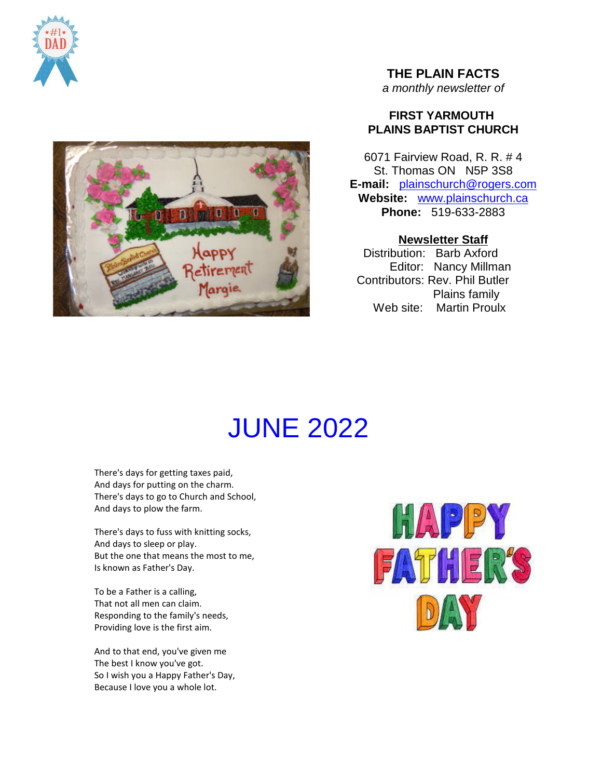



**THE PLAIN FACTS**

*a monthly newsletter of*

## **FIRST YARMOUTH PLAINS BAPTIST CHURCH**

6071 Fairview Road, R. R. # 4 St. Thomas ON N5P 3S8 **E-mail:** plainschurch@rogers.com **Website:** www.plainschurch.ca **Phone:** 519-633-2883

## **Newsletter Staff**

Distribution: Barb Axford Editor: Nancy Millman Contributors: Rev. Phil Butler Plains family Web site: Martin Proulx

# JUNE 2022

There's days for getting taxes paid, And days for putting on the charm. There's days to go to Church and School, And days to plow the farm.

There's days to fuss with knitting socks, And days to sleep or play. But the one that means the most to me, Is known as Father's Day.

To be a Father is a calling, That not all men can claim. Responding to the family's needs, Providing love is the first aim.

And to that end, you've given me The best I know you've got. So I wish you a Happy Father's Day, Because I love you a whole lot.

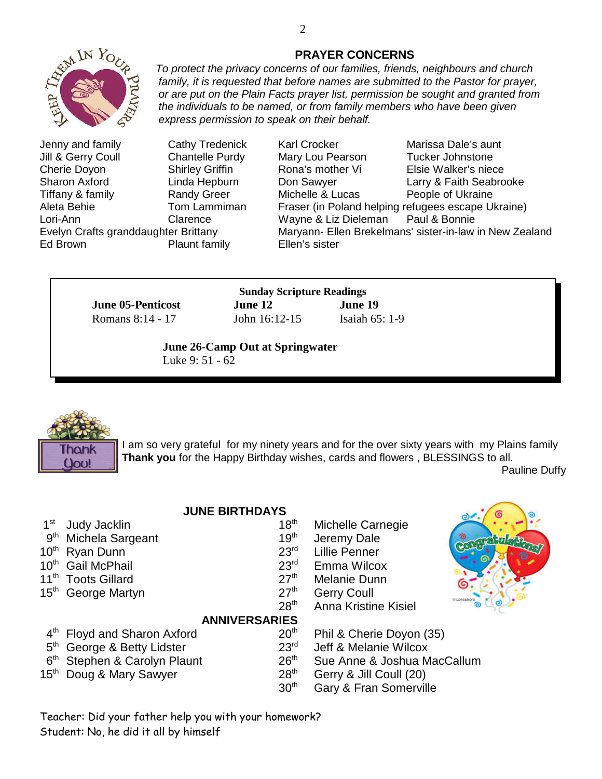

Ed Brown Plaunt family Ellen's sister

Jenny and family Cathy Tredenick Karl Crocker Marissa Dale's aunt Jill & Gerry Coull Chantelle Purdy Mary Lou Pearson Tucker Johnstone Cherie Doyon Shirley Griffin Rona's mother Vi Elsie Walker's niece Sharon Axford Linda Hepburn Don Sawyer Larry & Faith Seabrooke Tiffany & family **Randy Greer** Michelle & Lucas People of Ukraine Aleta Behie Tom Lammiman Fraser (in Poland helping refugees escape Ukraine) Lori-Ann Clarence Wayne & Liz Dieleman Paul & Bonnie Evelyn Crafts granddaughter Brittany Maryann- Ellen Brekelmans' sister-in-law in New Zealand

**Sunday Scripture Readings June 05-Penticost June 12 June 19** Romans 8:14 - 17 John 16:12-15 Isaiah 65: 1-9

> **June 26-Camp Out at Springwater** Luke 9: 51 - 62



I am so very grateful for my ninety years and for the over sixty years with my Plains family **Thank you** for the Happy Birthday wishes, cards and flowers , BLESSINGS to all.

Pauline Duffy

|                  | <b>JUNE BIRTHDAYS</b>                    |                  |                                   | ၜ |  |
|------------------|------------------------------------------|------------------|-----------------------------------|---|--|
| 1 <sup>st</sup>  | Judy Jacklin                             | 18 <sup>th</sup> | Michelle Carnegie                 |   |  |
| 9 <sup>th</sup>  | Michela Sargeant                         | 19 <sup>th</sup> | Jeremy Dale                       |   |  |
| 10 <sup>th</sup> | Ryan Dunn                                | 23 <sup>rd</sup> | <b>Lillie Penner</b>              |   |  |
| $10^{\text{th}}$ | <b>Gail McPhail</b>                      | 23 <sup>rd</sup> | Emma Wilcox                       |   |  |
| $11^{\text{th}}$ | <b>Toots Gillard</b>                     | 27 <sup>th</sup> | Melanie Dunn                      |   |  |
|                  | 15 <sup>th</sup> George Martyn           | 27 <sup>th</sup> | <b>Gerry Coull</b>                |   |  |
|                  |                                          | 28 <sup>th</sup> | <b>Anna Kristine Kisiel</b>       |   |  |
|                  | <b>ANNIVERSARIES</b>                     |                  |                                   |   |  |
| $4^{\text{th}}$  | <b>Floyd and Sharon Axford</b>           | 20 <sup>th</sup> | Phil & Cherie Doyon (35)          |   |  |
| 5 <sup>th</sup>  | George & Betty Lidster                   | 23 <sup>rd</sup> | Jeff & Melanie Wilcox             |   |  |
|                  | 6 <sup>th</sup> Stephen & Carolyn Plaunt | 26 <sup>th</sup> | Sue Anne & Joshua MacCallum       |   |  |
| $15^{\text{th}}$ | Doug & Mary Sawyer                       | 28 <sup>th</sup> | Gerry & Jill Coull (20)           |   |  |
|                  |                                          | 30 <sup>th</sup> | <b>Gary &amp; Fran Somerville</b> |   |  |

**PRAYER CONCERNS**

*To protect the privacy concerns of our families, friends, neighbours and church family, it is requested that before names are submitted to the Pastor for prayer, or are put on the Plain Facts prayer list, permission be sought and granted from the individuals to be named, or from family members who have been given express permission to speak on their behalf.*

2

Teacher: Did your father help you with your homework? Student: No, he did it all by himself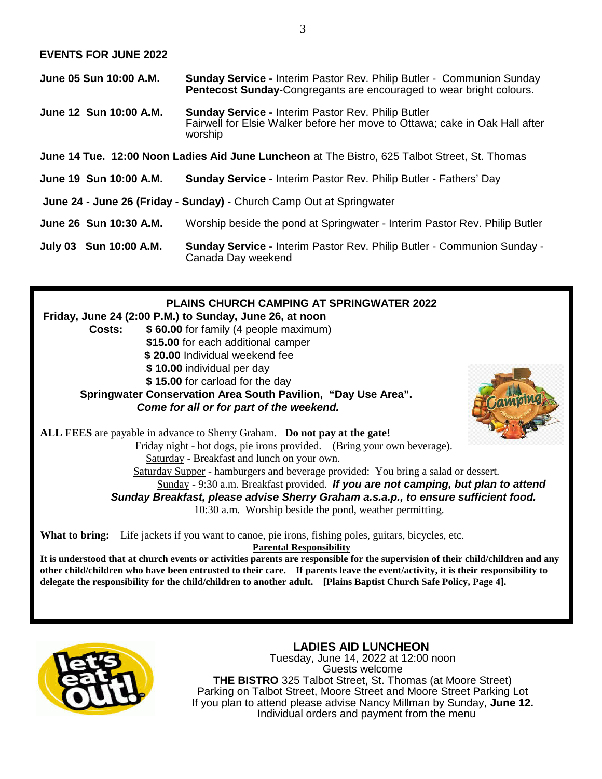## **EVENTS FOR JUNE 2022**

| June 05 Sun 10:00 A.M.                                                                        | <b>Sunday Service - Interim Pastor Rev. Philip Butler - Communion Sunday</b><br><b>Pentecost Sunday-Congregants are encouraged to wear bright colours.</b> |  |  |
|-----------------------------------------------------------------------------------------------|------------------------------------------------------------------------------------------------------------------------------------------------------------|--|--|
| June 12 Sun 10:00 A.M.                                                                        | <b>Sunday Service - Interim Pastor Rev. Philip Butler</b><br>Fairwell for Elsie Walker before her move to Ottawa; cake in Oak Hall after<br>worship        |  |  |
| June 14 Tue. 12:00 Noon Ladies Aid June Luncheon at The Bistro, 625 Talbot Street, St. Thomas |                                                                                                                                                            |  |  |
| June 19 Sun 10:00 A.M.                                                                        | Sunday Service - Interim Pastor Rev. Philip Butler - Fathers' Day                                                                                          |  |  |
| June 24 - June 26 (Friday - Sunday) - Church Camp Out at Springwater                          |                                                                                                                                                            |  |  |
| June 26 Sun 10:30 A.M.                                                                        | Worship beside the pond at Springwater - Interim Pastor Rev. Philip Butler                                                                                 |  |  |
| July 03 Sun 10:00 A.M.                                                                        | Sunday Service - Interim Pastor Rev. Philip Butler - Communion Sunday -<br>Canada Day weekend                                                              |  |  |

## **PLAINS CHURCH CAMPING AT SPRINGWATER 2022**

# **Friday, June 24 (2:00 P.M.) to Sunday, June 26, at noon**

- **Costs: \$ 60.00** for family (4 people maximum)
	- **\$15.00** for each additional camper
	- **\$ 20.00** Individual weekend fee
	- **\$ 10.00** individual per day
	- **\$ 15.00** for carload for the day

**Springwater Conservation Area South Pavilion, "Day Use Area".** *Come for all or for part of the weekend.*



**ALL FEES** are payable in advance to Sherry Graham. **Do not pay at the gate!**

Friday night - hot dogs, pie irons provided. (Bring your own beverage). Saturday - Breakfast and lunch on your own.

Saturday Supper - hamburgers and beverage provided: You bring a salad or dessert.

Sunday - 9:30 a.m. Breakfast provided. *If you are not camping, but plan to attend Sunday Breakfast, please advise Sherry Graham a.s.a.p., to ensure sufficient food.*

10:30 a.m. Worship beside the pond, weather permitting.

**What to bring:** Life jackets if you want to canoe, pie irons, fishing poles, guitars, bicycles, etc.

**Parental Responsibility**

**It is understood that at church events or activities parents are responsible for the supervision of their child/children and any other child/children who have been entrusted to their care. If parents leave the event/activity, it is their responsibility to delegate the responsibility for the child/children to another adult. [Plains Baptist Church Safe Policy, Page 4].**



## **LADIES AID LUNCHEON**

Tuesday, June 14, 2022 at 12:00 noon Guests welcome **THE BISTRO** 325 Talbot Street, St. Thomas (at Moore Street) Parking on Talbot Street, Moore Street and Moore Street Parking Lot If you plan to attend please advise Nancy Millman by Sunday, **June 12.** Individual orders and payment from the menu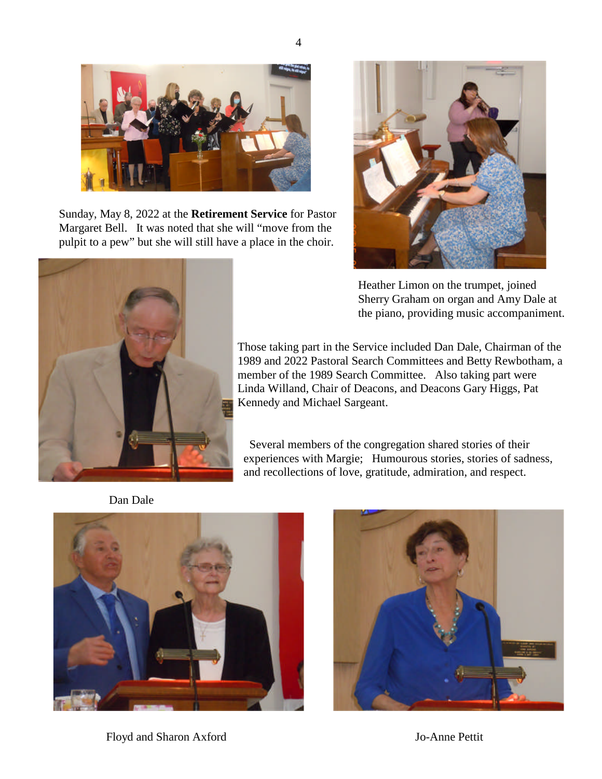

Sunday, May 8, 2022 at the **Retirement Service** for Pastor Margaret Bell. It was noted that she will "move from the pulpit to a pew" but she will still have a place in the choir.



Heather Limon on the trumpet, joined Sherry Graham on organ and Amy Dale at the piano, providing music accompaniment.

Those taking part in the Service included Dan Dale, Chairman of the 1989 and 2022 Pastoral Search Committees and Betty Rewbotham, a member of the 1989 Search Committee. Also taking part were Linda Willand, Chair of Deacons, and Deacons Gary Higgs, Pat Kennedy and Michael Sargeant.

Several members of the congregation shared stories of their experiences with Margie; Humourous stories, stories of sadness, and recollections of love, gratitude, admiration, and respect.

Dan Dale





Floyd and Sharon Axford Jo-Anne Pettit

4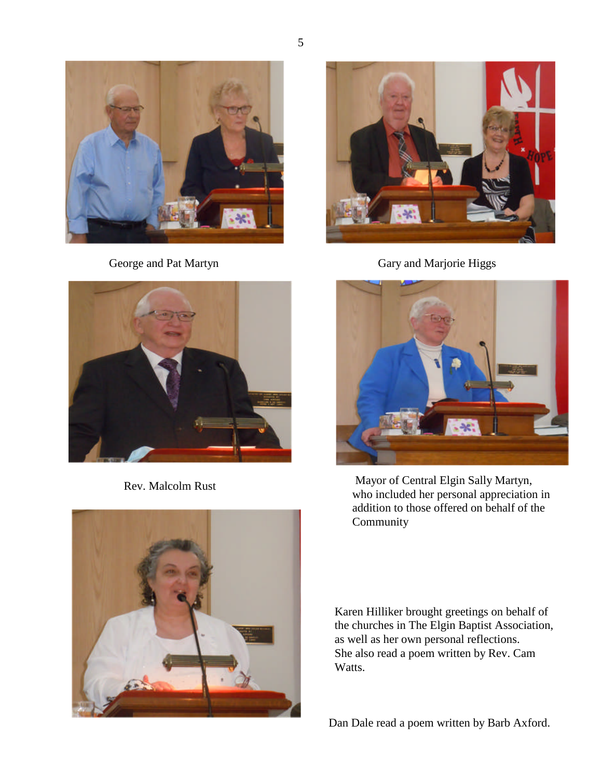



Rev. Malcolm Rust



George and Pat Martyn Gary and Marjorie Higgs



Mayor of Central Elgin Sally Martyn, who included her personal appreciation in addition to those offered on behalf of the Community

Karen Hilliker brought greetings on behalf of the churches in The Elgin Baptist Association, as well as her own personal reflections. She also read a poem written by Rev. Cam Watts.

Dan Dale read a poem written by Barb Axford.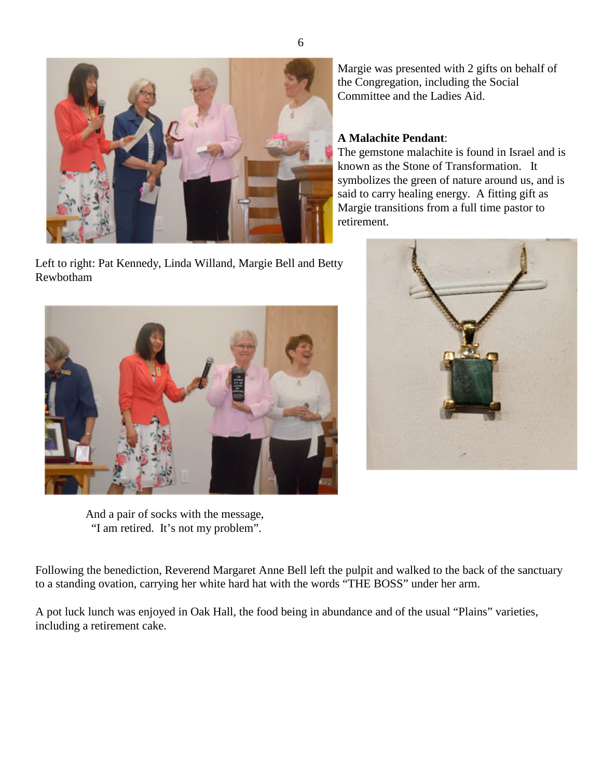

Left to right: Pat Kennedy, Linda Willand, Margie Bell and Betty Rewbotham



And a pair of socks with the message, "I am retired. It's not my problem".

Following the benediction, Reverend Margaret Anne Bell left the pulpit and walked to the back of the sanctuary to a standing ovation, carrying her white hard hat with the words "THE BOSS" under her arm.

A pot luck lunch was enjoyed in Oak Hall, the food being in abundance and of the usual "Plains" varieties, including a retirement cake.

Margie was presented with 2 gifts on behalf of the Congregation, including the Social Committee and the Ladies Aid.

## **A Malachite Pendant**:

The gemstone malachite is found in Israel and is known as the Stone of Transformation. It symbolizes the green of nature around us, and is said to carry healing energy. A fitting gift as Margie transitions from a full time pastor to retirement.

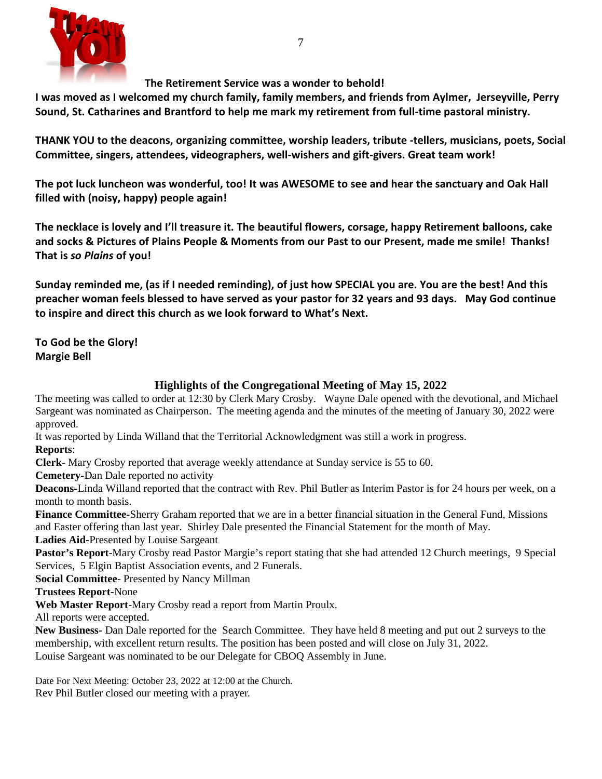

**The Retirement Service was a wonder to behold!**

**I was moved as I welcomed my church family, family members, and friends from Aylmer, Jerseyville, Perry Sound, St. Catharines and Brantford to help me mark my retirement from full-time pastoral ministry.**

**THANK YOU to the deacons, organizing committee, worship leaders, tribute -tellers, musicians, poets, Social Committee, singers, attendees, videographers, well-wishers and gift-givers. Great team work!**

**The pot luck luncheon was wonderful, too! It was AWESOME to see and hear the sanctuary and Oak Hall filled with (noisy, happy) people again!**

**The necklace is lovely and I'll treasure it. The beautiful flowers, corsage, happy Retirement balloons, cake and socks & Pictures of Plains People & Moments from our Past to our Present, made me smile! Thanks! That is** *so Plains* **of you!**

**Sunday reminded me, (as if I needed reminding), of just how SPECIAL you are. You are the best! And this preacher woman feels blessed to have served as your pastor for 32 years and 93 days. May God continue to inspire and direct this church as we look forward to What's Next.**

**To God be the Glory! Margie Bell**

# **Highlights of the Congregational Meeting of May 15, 2022**

The meeting was called to order at 12:30 by Clerk Mary Crosby. Wayne Dale opened with the devotional, and Michael Sargeant was nominated as Chairperson. The meeting agenda and the minutes of the meeting of January 30, 2022 were approved.

It was reported by Linda Willand that the Territorial Acknowledgment was still a work in progress.

**Reports**:

**Clerk**- Mary Crosby reported that average weekly attendance at Sunday service is 55 to 60.

**Cemetery-**Dan Dale reported no activity

**Deacons-**Linda Willand reported that the contract with Rev. Phil Butler as Interim Pastor is for 24 hours per week, on a month to month basis.

**Finance Committee-**Sherry Graham reported that we are in a better financial situation in the General Fund, Missions and Easter offering than last year. Shirley Dale presented the Financial Statement for the month of May.

**Ladies Aid-**Presented by Louise Sargeant

**Pastor's Report**-Mary Crosby read Pastor Margie's report stating that she had attended 12 Church meetings, 9 Special Services, 5 Elgin Baptist Association events, and 2 Funerals.

**Social Committee**- Presented by Nancy Millman

**Trustees Report-**None

**Web Master Report**-Mary Crosby read a report from Martin Proulx.

All reports were accepted.

**New Business-** Dan Dale reported for the Search Committee. They have held 8 meeting and put out 2 surveys to the membership, with excellent return results. The position has been posted and will close on July 31, 2022. Louise Sargeant was nominated to be our Delegate for CBOQ Assembly in June.

Date For Next Meeting: October 23, 2022 at 12:00 at the Church. Rev Phil Butler closed our meeting with a prayer.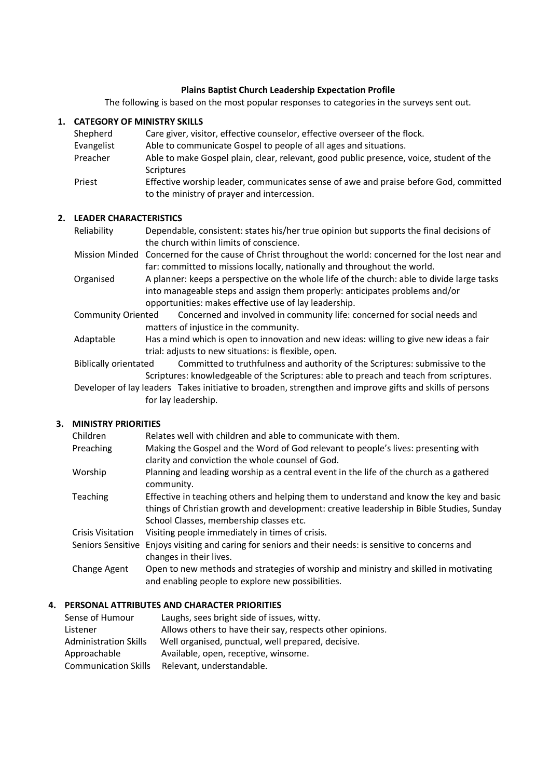## **Plains Baptist Church Leadership Expectation Profile**

The following is based on the most popular responses to categories in the surveys sent out.

## **1. CATEGORY OF MINISTRY SKILLS**

| Shepherd   | Care giver, visitor, effective counselor, effective overseer of the flock.              |
|------------|-----------------------------------------------------------------------------------------|
| Evangelist | Able to communicate Gospel to people of all ages and situations.                        |
| Preacher   | Able to make Gospel plain, clear, relevant, good public presence, voice, student of the |
|            | Scriptures                                                                              |
| Priest     | Effective worship leader, communicates sense of awe and praise before God, committed    |
|            | to the ministry of prayer and intercession.                                             |

## **2. LEADER CHARACTERISTICS**

| Reliability | Dependable, consistent: states his/her true opinion but supports the final decisions of |
|-------------|-----------------------------------------------------------------------------------------|
|             | the church within limits of conscience.                                                 |

Mission Minded Concerned for the cause of Christ throughout the world: concerned for the lost near and far: committed to missions locally, nationally and throughout the world.

- Organised A planner: keeps a perspective on the whole life of the church: able to divide large tasks into manageable steps and assign them properly: anticipates problems and/or opportunities: makes effective use of lay leadership.
- Community Oriented Concerned and involved in community life: concerned for social needs and matters of injustice in the community.
- Adaptable Has a mind which is open to innovation and new ideas: willing to give new ideas a fair trial: adjusts to new situations: is flexible, open.

Biblically orientated Committed to truthfulness and authority of the Scriptures: submissive to the Scriptures: knowledgeable of the Scriptures: able to preach and teach from scriptures.

Developer of lay leaders Takes initiative to broaden, strengthen and improve gifts and skills of persons for lay leadership.

## **3. MINISTRY PRIORITIES**

| Children                 | Relates well with children and able to communicate with them.                                                                                                                      |
|--------------------------|------------------------------------------------------------------------------------------------------------------------------------------------------------------------------------|
| Preaching                | Making the Gospel and the Word of God relevant to people's lives: presenting with                                                                                                  |
|                          | clarity and conviction the whole counsel of God.                                                                                                                                   |
| Worship                  | Planning and leading worship as a central event in the life of the church as a gathered<br>community.                                                                              |
| Teaching                 | Effective in teaching others and helping them to understand and know the key and basic<br>things of Christian growth and development: creative leadership in Bible Studies, Sunday |
|                          | School Classes, membership classes etc.                                                                                                                                            |
| <b>Crisis Visitation</b> | Visiting people immediately in times of crisis.                                                                                                                                    |
| Seniors Sensitive        | Enjoys visiting and caring for seniors and their needs: is sensitive to concerns and<br>changes in their lives.                                                                    |
| Change Agent             | Open to new methods and strategies of worship and ministry and skilled in motivating<br>and enabling people to explore new possibilities.                                          |

#### **4. PERSONAL ATTRIBUTES AND CHARACTER PRIORITIES**

| Sense of Humour              | Laughs, sees bright side of issues, witty.                |
|------------------------------|-----------------------------------------------------------|
| Listener                     | Allows others to have their say, respects other opinions. |
| <b>Administration Skills</b> | Well organised, punctual, well prepared, decisive.        |
| Approachable                 | Available, open, receptive, winsome.                      |
| <b>Communication Skills</b>  | Relevant, understandable.                                 |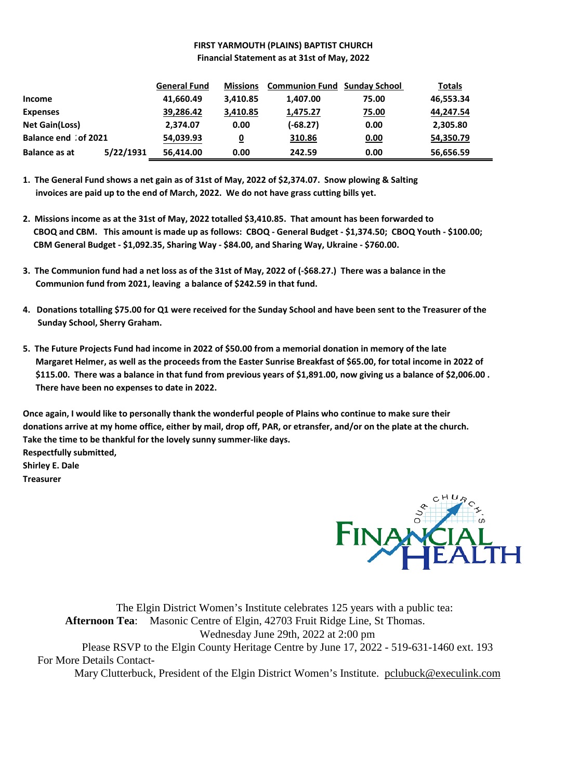## **FIRST YARMOUTH (PLAINS) BAPTIST CHURCH Financial Statement as at 31st of May, 2022**

|                       |           | <b>General Fund</b> | Missions    | <b>Communion Fund Sunday School</b> |       | <u>Totals</u> |
|-----------------------|-----------|---------------------|-------------|-------------------------------------|-------|---------------|
| <b>Income</b>         |           | 41,660.49           | 3,410.85    | 1,407.00                            | 75.00 | 46,553.34     |
| <b>Expenses</b>       |           | 39,286.42           | 3,410.85    | 1,475.27                            | 75.00 | 44,247.54     |
| <b>Net Gain(Loss)</b> |           | 2,374.07            | 0.00        | $(-68.27)$                          | 0.00  | 2,305.80      |
| Balance end of 2021   |           | 54,039.93           | $\mathbf 0$ | 310.86                              | 0.00  | 54,350.79     |
| <b>Balance as at</b>  | 5/22/1931 | 56,414.00           | 0.00        | 242.59                              | 0.00  | 56,656.59     |

**1. The General Fund shows a net gain as of 31st of May, 2022 of \$2,374.07. Snow plowing & Salting invoices are paid up to the end of March, 2022. We do not have grass cutting bills yet.**

- **2. Missions income as at the 31st of May, 2022 totalled \$3,410.85. That amount has been forwarded to CBOQ and CBM. This amount is made up as follows: CBOQ - General Budget - \$1,374.50; CBOQ Youth - \$100.00; CBM General Budget - \$1,092.35, Sharing Way - \$84.00, and Sharing Way, Ukraine - \$760.00.**
- **3. The Communion fund had a net loss as of the 31st of May, 2022 of (-\$68.27.) There was a balance in the Communion fund from 2021, leaving a balance of \$242.59 in that fund.**
- **4. Donations totalling \$75.00 for Q1 were received for the Sunday School and have been sent to the Treasurer of the Sunday School, Sherry Graham.**
- **5. The Future Projects Fund had income in 2022 of \$50.00 from a memorial donation in memory of the late Margaret Helmer, as well as the proceeds from the Easter Sunrise Breakfast of \$65.00, for total income in 2022 of \$115.00. There was a balance in that fund from previous years of \$1,891.00, now giving us a balance of \$2,006.00 . There have been no expenses to date in 2022.**

**Once again, I would like to personally thank the wonderful people of Plains who continue to make sure their donations arrive at my home office, either by mail, drop off, PAR, or etransfer, and/or on the plate at the church. Take the time to be thankful for the lovely sunny summer-like days. Respectfully submitted, Shirley E. Dale Treasurer**



The Elgin District Women's Institute celebrates 125 years with a public tea: **Afternoon Tea**: Masonic Centre of Elgin, 42703 Fruit Ridge Line, St Thomas. Wednesday June 29th, 2022 at 2:00 pm Please RSVP to the Elgin County Heritage Centre by June 17, 2022 - 519-631-1460 ext. 193 For More Details Contact-Mary Clutterbuck, President of the Elgin District Women's Institute. pclubuck@execulink.com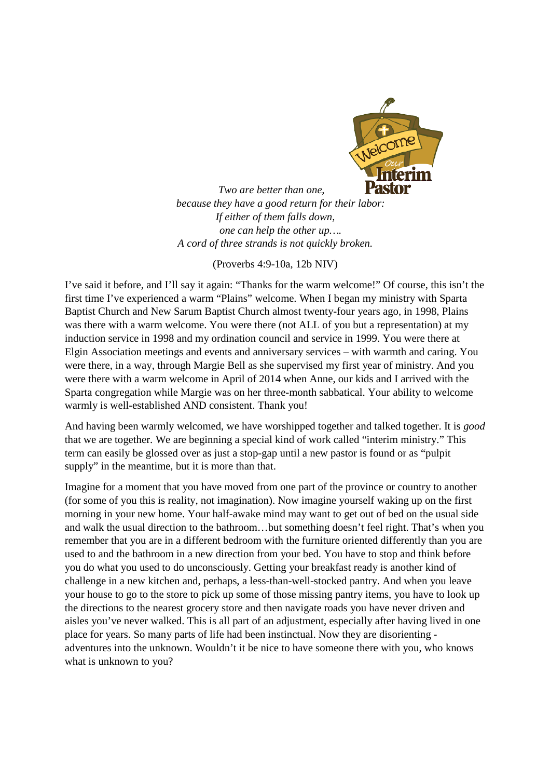

*Two are better than one, because they have a good return for their labor: If either of them falls down, one can help the other up…. A cord of three strands is not quickly broken.*

(Proverbs 4:9-10a, 12b NIV)

I've said it before, and I'll say it again: "Thanks for the warm welcome!" Of course, this isn't the first time I've experienced a warm "Plains" welcome. When I began my ministry with Sparta Baptist Church and New Sarum Baptist Church almost twenty-four years ago, in 1998, Plains was there with a warm welcome. You were there (not ALL of you but a representation) at my induction service in 1998 and my ordination council and service in 1999. You were there at Elgin Association meetings and events and anniversary services – with warmth and caring. You were there, in a way, through Margie Bell as she supervised my first year of ministry. And you were there with a warm welcome in April of 2014 when Anne, our kids and I arrived with the Sparta congregation while Margie was on her three-month sabbatical. Your ability to welcome warmly is well-established AND consistent. Thank you!

And having been warmly welcomed, we have worshipped together and talked together. It is *good* that we are together. We are beginning a special kind of work called "interim ministry." This term can easily be glossed over as just a stop-gap until a new pastor is found or as "pulpit supply" in the meantime, but it is more than that.

Imagine for a moment that you have moved from one part of the province or country to another (for some of you this is reality, not imagination). Now imagine yourself waking up on the first morning in your new home. Your half-awake mind may want to get out of bed on the usual side and walk the usual direction to the bathroom…but something doesn't feel right. That's when you remember that you are in a different bedroom with the furniture oriented differently than you are used to and the bathroom in a new direction from your bed. You have to stop and think before you do what you used to do unconsciously. Getting your breakfast ready is another kind of challenge in a new kitchen and, perhaps, a less-than-well-stocked pantry. And when you leave your house to go to the store to pick up some of those missing pantry items, you have to look up the directions to the nearest grocery store and then navigate roads you have never driven and aisles you've never walked. This is all part of an adjustment, especially after having lived in one place for years. So many parts of life had been instinctual. Now they are disorienting adventures into the unknown. Wouldn't it be nice to have someone there with you, who knows what is unknown to you?